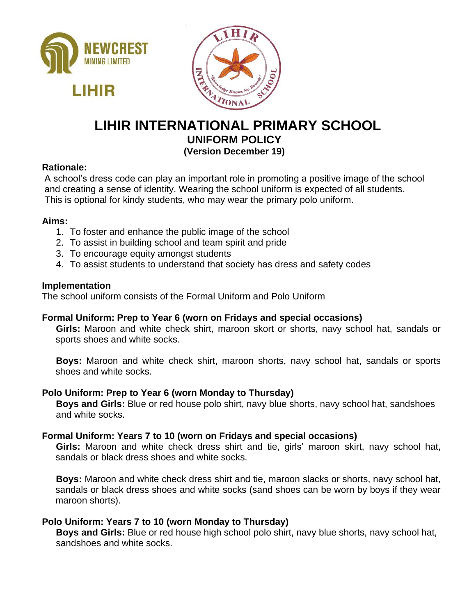



# **LIHIR INTERNATIONAL PRIMARY SCHOOL UNIFORM POLICY (Version December 19)**

## **Rationale:**

A school's dress code can play an important role in promoting a positive image of the school and creating a sense of identity. Wearing the school uniform is expected of all students. This is optional for kindy students, who may wear the primary polo uniform.

#### **Aims:**

- 1. To foster and enhance the public image of the school
- 2. To assist in building school and team spirit and pride
- 3. To encourage equity amongst students
- 4. To assist students to understand that society has dress and safety codes

#### **Implementation**

The school uniform consists of the Formal Uniform and Polo Uniform

## **Formal Uniform: Prep to Year 6 (worn on Fridays and special occasions)**

**Girls:** Maroon and white check shirt, maroon skort or shorts, navy school hat, sandals or sports shoes and white socks.

**Boys:** Maroon and white check shirt, maroon shorts, navy school hat, sandals or sports shoes and white socks.

#### **Polo Uniform: Prep to Year 6 (worn Monday to Thursday)**

**Boys and Girls:** Blue or red house polo shirt, navy blue shorts, navy school hat, sandshoes and white socks.

## **Formal Uniform: Years 7 to 10 (worn on Fridays and special occasions)**

**Girls:** Maroon and white check dress shirt and tie, girls' maroon skirt, navy school hat, sandals or black dress shoes and white socks.

**Boys:** Maroon and white check dress shirt and tie, maroon slacks or shorts, navy school hat, sandals or black dress shoes and white socks (sand shoes can be worn by boys if they wear maroon shorts).

## **Polo Uniform: Years 7 to 10 (worn Monday to Thursday)**

**Boys and Girls:** Blue or red house high school polo shirt, navy blue shorts, navy school hat, sandshoes and white socks.